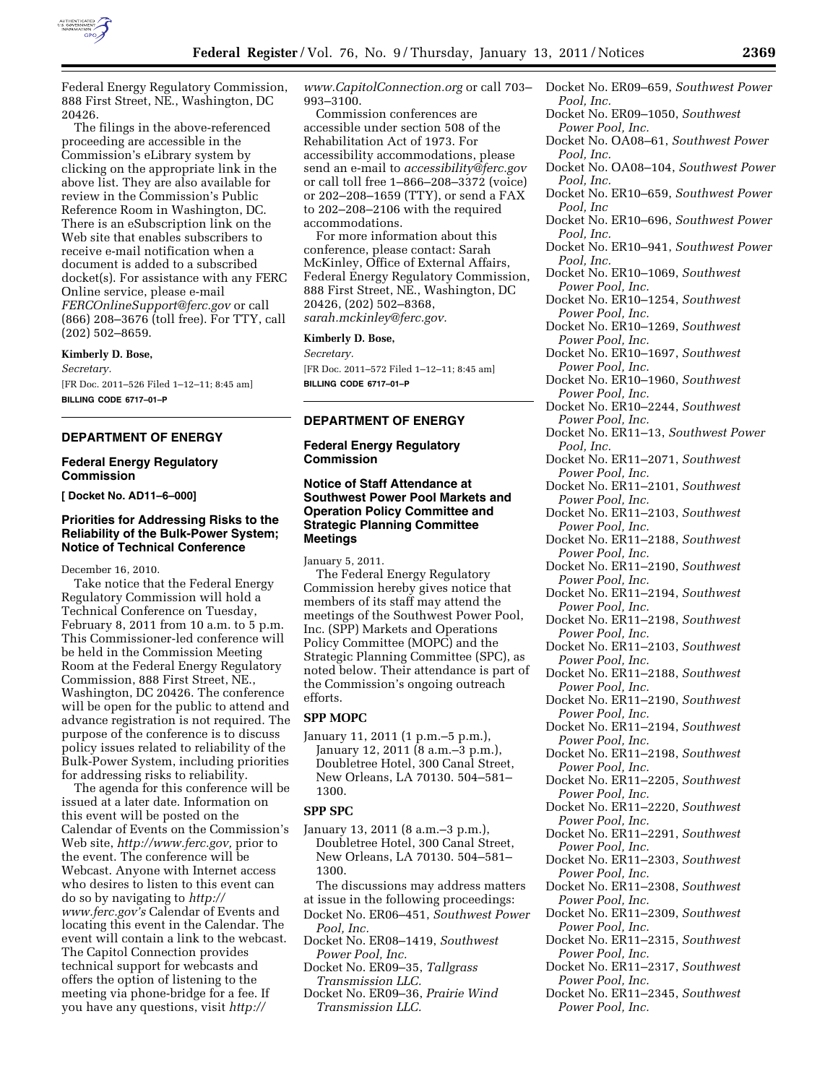

Federal Energy Regulatory Commission, 888 First Street, NE., Washington, DC 20426.

The filings in the above-referenced proceeding are accessible in the Commission's eLibrary system by clicking on the appropriate link in the above list. They are also available for review in the Commission's Public Reference Room in Washington, DC. There is an eSubscription link on the Web site that enables subscribers to receive e-mail notification when a document is added to a subscribed docket(s). For assistance with any FERC Online service, please e-mail *[FERCOnlineSupport@ferc.gov](mailto:FERCOnlineSupport@ferc.gov)* or call (866) 208–3676 (toll free). For TTY, call (202) 502–8659.

**Kimberly D. Bose,** 

*Secretary.*  [FR Doc. 2011–526 Filed 1–12–11; 8:45 am] **BILLING CODE 6717–01–P** 

# **DEPARTMENT OF ENERGY**

#### **Federal Energy Regulatory Commission**

**[ Docket No. AD11–6–000]** 

### **Priorities for Addressing Risks to the Reliability of the Bulk-Power System; Notice of Technical Conference**

December 16, 2010.

Take notice that the Federal Energy Regulatory Commission will hold a Technical Conference on Tuesday, February 8, 2011 from 10 a.m. to 5 p.m. This Commissioner-led conference will be held in the Commission Meeting Room at the Federal Energy Regulatory Commission, 888 First Street, NE., Washington, DC 20426. The conference will be open for the public to attend and advance registration is not required. The purpose of the conference is to discuss policy issues related to reliability of the Bulk-Power System, including priorities for addressing risks to reliability.

The agenda for this conference will be issued at a later date. Information on this event will be posted on the Calendar of Events on the Commission's Web site, *[http://www.ferc.gov,](http://www.ferc.gov)* prior to the event. The conference will be Webcast. Anyone with Internet access who desires to listen to this event can do so by navigating to *[http://](http://www.ferc.gov) [www.ferc.gov's](http://www.ferc.gov)* Calendar of Events and locating this event in the Calendar. The event will contain a link to the webcast. The Capitol Connection provides technical support for webcasts and offers the option of listening to the meeting via phone-bridge for a fee. If you have any questions, visit *[http://](http://www.CapitolConnection.org)* 

*[www.CapitolConnection.org](http://www.CapitolConnection.org)* or call 703– 993–3100.

Commission conferences are accessible under section 508 of the Rehabilitation Act of 1973. For accessibility accommodations, please send an e-mail to *[accessibility@ferc.gov](mailto:accessibility@ferc.gov)*  or call toll free 1–866–208–3372 (voice) or 202–208–1659 (TTY), or send a FAX to 202–208–2106 with the required accommodations.

For more information about this conference, please contact: Sarah McKinley, Office of External Affairs, Federal Energy Regulatory Commission, 888 First Street, NE., Washington, DC 20426, (202) 502–8368, *[sarah.mckinley@ferc.gov.](mailto:sarah.mckinley@ferc.gov)* 

#### **Kimberly D. Bose,**

*Secretary.* 

[FR Doc. 2011–572 Filed 1–12–11; 8:45 am] **BILLING CODE 6717–01–P** 

# **DEPARTMENT OF ENERGY**

# **Federal Energy Regulatory Commission**

# **Notice of Staff Attendance at Southwest Power Pool Markets and Operation Policy Committee and Strategic Planning Committee Meetings**

January 5, 2011.

The Federal Energy Regulatory Commission hereby gives notice that members of its staff may attend the meetings of the Southwest Power Pool, Inc. (SPP) Markets and Operations Policy Committee (MOPC) and the Strategic Planning Committee (SPC), as noted below. Their attendance is part of the Commission's ongoing outreach efforts.

#### **SPP MOPC**

January 11, 2011 (1 p.m.–5 p.m.), January 12, 2011 (8 a.m.–3 p.m.), Doubletree Hotel, 300 Canal Street, New Orleans, LA 70130. 504–581– 1300.

#### **SPP SPC**

January 13, 2011 (8 a.m.–3 p.m.), Doubletree Hotel, 300 Canal Street, New Orleans, LA 70130. 504–581– 1300.

The discussions may address matters at issue in the following proceedings:

- Docket No. ER06–451, *Southwest Power Pool, Inc.*
- Docket No. ER08–1419, *Southwest Power Pool, Inc.*
- Docket No. ER09–35, *Tallgrass Transmission LLC.*
- Docket No. ER09–36, *Prairie Wind Transmission LLC.*
- Docket No. ER09–659, *Southwest Power Pool, Inc.*
- Docket No. ER09–1050, *Southwest Power Pool, Inc.*
- Docket No. OA08–61, *Southwest Power Pool, Inc.*
- Docket No. OA08–104, *Southwest Power Pool, Inc.*
- Docket No. ER10–659, *Southwest Power Pool, Inc*
- Docket No. ER10–696, *Southwest Power Pool, Inc.*
- Docket No. ER10–941, *Southwest Power Pool, Inc.*
- Docket No. ER10–1069, *Southwest Power Pool, Inc.*
- Docket No. ER10–1254, *Southwest Power Pool, Inc.*
- Docket No. ER10–1269, *Southwest Power Pool, Inc.*
- Docket No. ER10–1697, *Southwest Power Pool, Inc.*
- Docket No. ER10–1960, *Southwest Power Pool, Inc.*
- Docket No. ER10–2244, *Southwest Power Pool, Inc.*
- Docket No. ER11–13, *Southwest Power Pool, Inc.*
- Docket No. ER11–2071, *Southwest Power Pool, Inc.*
- Docket No. ER11–2101, *Southwest Power Pool, Inc.*
- Docket No. ER11–2103, *Southwest Power Pool, Inc.*
- Docket No. ER11–2188, *Southwest Power Pool, Inc.*
- Docket No. ER11–2190, *Southwest Power Pool, Inc.*
- Docket No. ER11–2194, *Southwest Power Pool, Inc.*
- Docket No. ER11–2198, *Southwest Power Pool, Inc.*
- Docket No. ER11–2103, *Southwest Power Pool, Inc.*
- Docket No. ER11–2188, *Southwest Power Pool, Inc.*
- Docket No. ER11–2190, *Southwest Power Pool, Inc.*
- Docket No. ER11–2194, *Southwest Power Pool, Inc.*
- Docket No. ER11–2198, *Southwest Power Pool, Inc.*
- Docket No. ER11–2205, *Southwest Power Pool, Inc.*
- Docket No. ER11–2220, *Southwest Power Pool, Inc.*
- Docket No. ER11–2291, *Southwest Power Pool, Inc.*
- Docket No. ER11–2303, *Southwest Power Pool, Inc.*
- Docket No. ER11–2308, *Southwest Power Pool, Inc.*
- Docket No. ER11–2309, *Southwest Power Pool, Inc.*
- Docket No. ER11–2315, *Southwest Power Pool, Inc.*
- Docket No. ER11–2317, *Southwest Power Pool, Inc.*
- Docket No. ER11–2345, *Southwest Power Pool, Inc.*